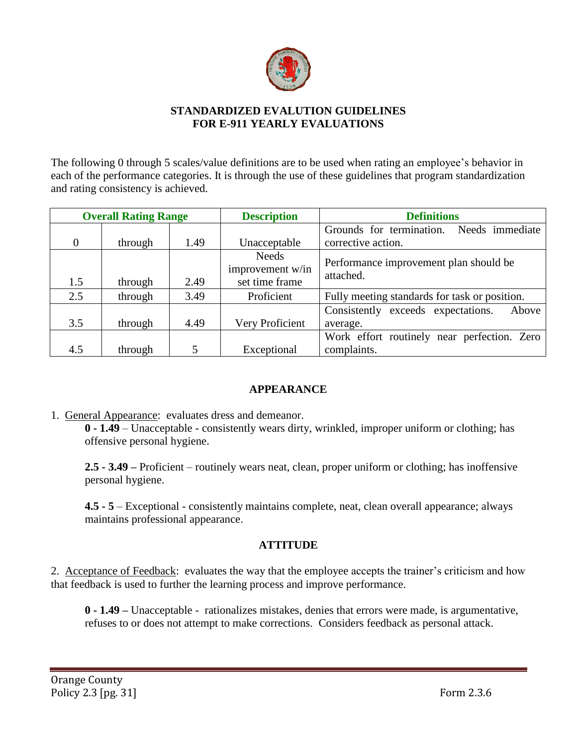

### **STANDARDIZED EVALUTION GUIDELINES FOR E-911 YEARLY EVALUATIONS**

The following 0 through 5 scales/value definitions are to be used when rating an employee's behavior in each of the performance categories. It is through the use of these guidelines that program standardization and rating consistency is achieved.

| <b>Overall Rating Range</b> |         |      | <b>Description</b> | <b>Definitions</b>                            |
|-----------------------------|---------|------|--------------------|-----------------------------------------------|
|                             |         |      |                    | Grounds for termination.<br>Needs immediate   |
| $\Omega$                    | through | 1.49 | Unacceptable       | corrective action.                            |
|                             |         |      | <b>Needs</b>       | Performance improvement plan should be        |
|                             |         |      | improvement w/in   | attached.                                     |
| 1.5                         | through | 2.49 | set time frame     |                                               |
| 2.5                         | through | 3.49 | Proficient         | Fully meeting standards for task or position. |
|                             |         |      |                    | Consistently exceeds expectations.<br>Above   |
| 3.5                         | through | 4.49 | Very Proficient    | average.                                      |
|                             |         |      |                    | Work effort routinely near perfection. Zero   |
| 4.5                         | through | 5    | Exceptional        | complaints.                                   |

## **APPEARANCE**

1. General Appearance: evaluates dress and demeanor.

**0 - 1.49** – Unacceptable - consistently wears dirty, wrinkled, improper uniform or clothing; has offensive personal hygiene.

**2.5 - 3.49 –** Proficient – routinely wears neat, clean, proper uniform or clothing; has inoffensive personal hygiene.

**4.5 - 5** – Exceptional - consistently maintains complete, neat, clean overall appearance; always maintains professional appearance.

#### **ATTITUDE**

2. Acceptance of Feedback: evaluates the way that the employee accepts the trainer's criticism and how that feedback is used to further the learning process and improve performance.

**0 - 1.49 –** Unacceptable - rationalizes mistakes, denies that errors were made, is argumentative, refuses to or does not attempt to make corrections. Considers feedback as personal attack.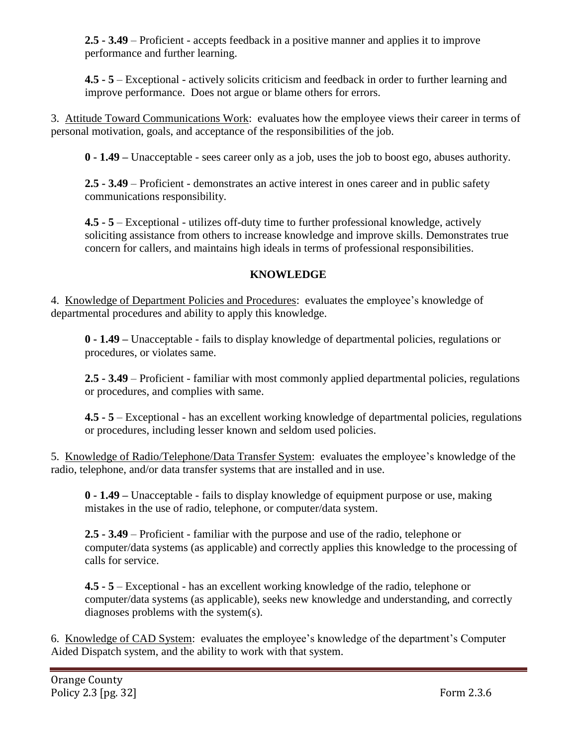**2.5 - 3.49** – Proficient - accepts feedback in a positive manner and applies it to improve performance and further learning.

**4.5 - 5** – Exceptional - actively solicits criticism and feedback in order to further learning and improve performance. Does not argue or blame others for errors.

3. Attitude Toward Communications Work: evaluates how the employee views their career in terms of personal motivation, goals, and acceptance of the responsibilities of the job.

**0 - 1.49 –** Unacceptable - sees career only as a job, uses the job to boost ego, abuses authority.

**2.5 - 3.49** – Proficient - demonstrates an active interest in ones career and in public safety communications responsibility.

**4.5 - 5** – Exceptional - utilizes off-duty time to further professional knowledge, actively soliciting assistance from others to increase knowledge and improve skills. Demonstrates true concern for callers, and maintains high ideals in terms of professional responsibilities.

## **KNOWLEDGE**

4. Knowledge of Department Policies and Procedures: evaluates the employee's knowledge of departmental procedures and ability to apply this knowledge.

**0 - 1.49 –** Unacceptable - fails to display knowledge of departmental policies, regulations or procedures, or violates same.

**2.5 - 3.49** – Proficient - familiar with most commonly applied departmental policies, regulations or procedures, and complies with same.

**4.5 - 5** – Exceptional - has an excellent working knowledge of departmental policies, regulations or procedures, including lesser known and seldom used policies.

5. Knowledge of Radio/Telephone/Data Transfer System: evaluates the employee's knowledge of the radio, telephone, and/or data transfer systems that are installed and in use.

**0 - 1.49 –** Unacceptable - fails to display knowledge of equipment purpose or use, making mistakes in the use of radio, telephone, or computer/data system.

**2.5 - 3.49** – Proficient - familiar with the purpose and use of the radio, telephone or computer/data systems (as applicable) and correctly applies this knowledge to the processing of calls for service.

**4.5 - 5** – Exceptional - has an excellent working knowledge of the radio, telephone or computer/data systems (as applicable), seeks new knowledge and understanding, and correctly diagnoses problems with the system(s).

6. Knowledge of CAD System: evaluates the employee's knowledge of the department's Computer Aided Dispatch system, and the ability to work with that system.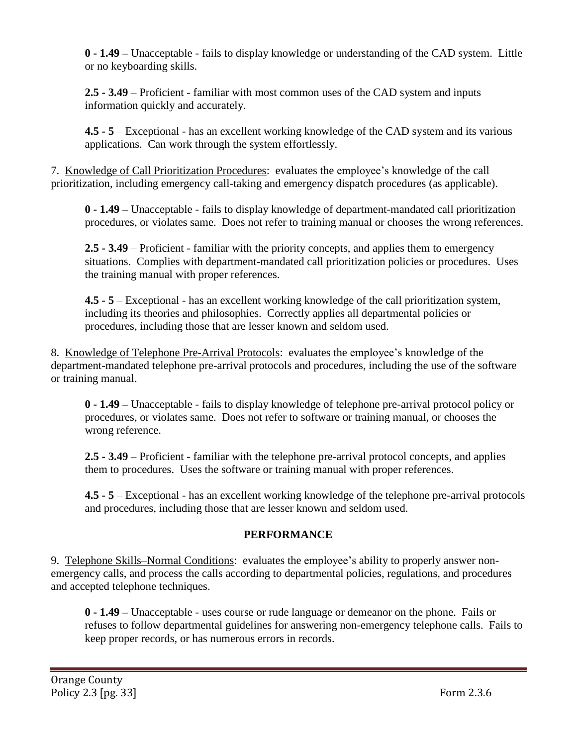**0 - 1.49 –** Unacceptable - fails to display knowledge or understanding of the CAD system. Little or no keyboarding skills.

**2.5 - 3.49** – Proficient - familiar with most common uses of the CAD system and inputs information quickly and accurately.

**4.5 - 5** – Exceptional - has an excellent working knowledge of the CAD system and its various applications. Can work through the system effortlessly.

7. Knowledge of Call Prioritization Procedures: evaluates the employee's knowledge of the call prioritization, including emergency call-taking and emergency dispatch procedures (as applicable).

**0 - 1.49 –** Unacceptable - fails to display knowledge of department-mandated call prioritization procedures, or violates same. Does not refer to training manual or chooses the wrong references.

**2.5 - 3.49** – Proficient - familiar with the priority concepts, and applies them to emergency situations. Complies with department-mandated call prioritization policies or procedures. Uses the training manual with proper references.

**4.5 - 5** – Exceptional - has an excellent working knowledge of the call prioritization system, including its theories and philosophies. Correctly applies all departmental policies or procedures, including those that are lesser known and seldom used.

8. Knowledge of Telephone Pre-Arrival Protocols: evaluates the employee's knowledge of the department-mandated telephone pre-arrival protocols and procedures, including the use of the software or training manual.

**0 - 1.49 –** Unacceptable - fails to display knowledge of telephone pre-arrival protocol policy or procedures, or violates same. Does not refer to software or training manual, or chooses the wrong reference.

**2.5 - 3.49** – Proficient - familiar with the telephone pre-arrival protocol concepts, and applies them to procedures. Uses the software or training manual with proper references.

**4.5 - 5** – Exceptional - has an excellent working knowledge of the telephone pre-arrival protocols and procedures, including those that are lesser known and seldom used.

# **PERFORMANCE**

9. Telephone Skills–Normal Conditions: evaluates the employee's ability to properly answer nonemergency calls, and process the calls according to departmental policies, regulations, and procedures and accepted telephone techniques.

**0 - 1.49 –** Unacceptable - uses course or rude language or demeanor on the phone. Fails or refuses to follow departmental guidelines for answering non-emergency telephone calls. Fails to keep proper records, or has numerous errors in records.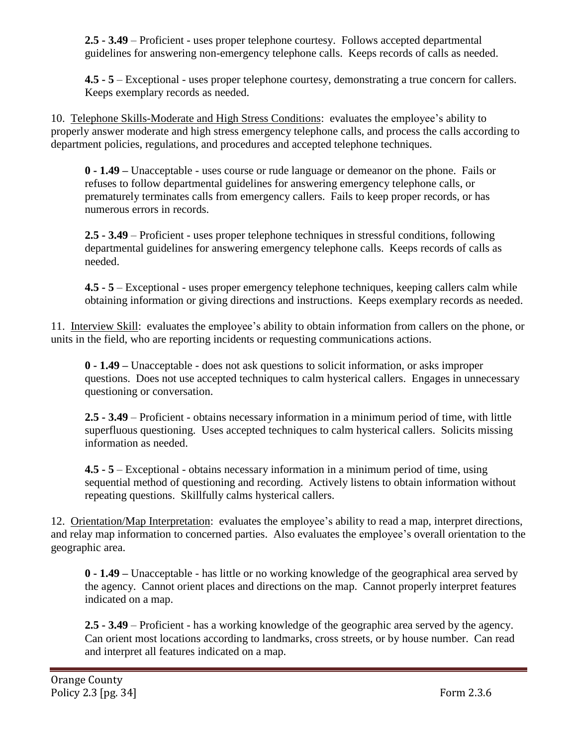**2.5 - 3.49** – Proficient - uses proper telephone courtesy. Follows accepted departmental guidelines for answering non-emergency telephone calls. Keeps records of calls as needed.

**4.5 - 5** – Exceptional - uses proper telephone courtesy, demonstrating a true concern for callers. Keeps exemplary records as needed.

10. Telephone Skills-Moderate and High Stress Conditions: evaluates the employee's ability to properly answer moderate and high stress emergency telephone calls, and process the calls according to department policies, regulations, and procedures and accepted telephone techniques.

**0 - 1.49 –** Unacceptable - uses course or rude language or demeanor on the phone. Fails or refuses to follow departmental guidelines for answering emergency telephone calls, or prematurely terminates calls from emergency callers. Fails to keep proper records, or has numerous errors in records.

**2.5 - 3.49** – Proficient - uses proper telephone techniques in stressful conditions, following departmental guidelines for answering emergency telephone calls. Keeps records of calls as needed.

**4.5 - 5** – Exceptional - uses proper emergency telephone techniques, keeping callers calm while obtaining information or giving directions and instructions. Keeps exemplary records as needed.

11. Interview Skill: evaluates the employee's ability to obtain information from callers on the phone, or units in the field, who are reporting incidents or requesting communications actions.

**0 - 1.49 –** Unacceptable - does not ask questions to solicit information, or asks improper questions. Does not use accepted techniques to calm hysterical callers. Engages in unnecessary questioning or conversation.

**2.5 - 3.49** – Proficient - obtains necessary information in a minimum period of time, with little superfluous questioning. Uses accepted techniques to calm hysterical callers. Solicits missing information as needed.

**4.5 - 5** – Exceptional - obtains necessary information in a minimum period of time, using sequential method of questioning and recording. Actively listens to obtain information without repeating questions. Skillfully calms hysterical callers.

12. Orientation/Map Interpretation: evaluates the employee's ability to read a map, interpret directions, and relay map information to concerned parties. Also evaluates the employee's overall orientation to the geographic area.

**0 - 1.49 –** Unacceptable - has little or no working knowledge of the geographical area served by the agency. Cannot orient places and directions on the map. Cannot properly interpret features indicated on a map.

**2.5 - 3.49** – Proficient - has a working knowledge of the geographic area served by the agency. Can orient most locations according to landmarks, cross streets, or by house number. Can read and interpret all features indicated on a map.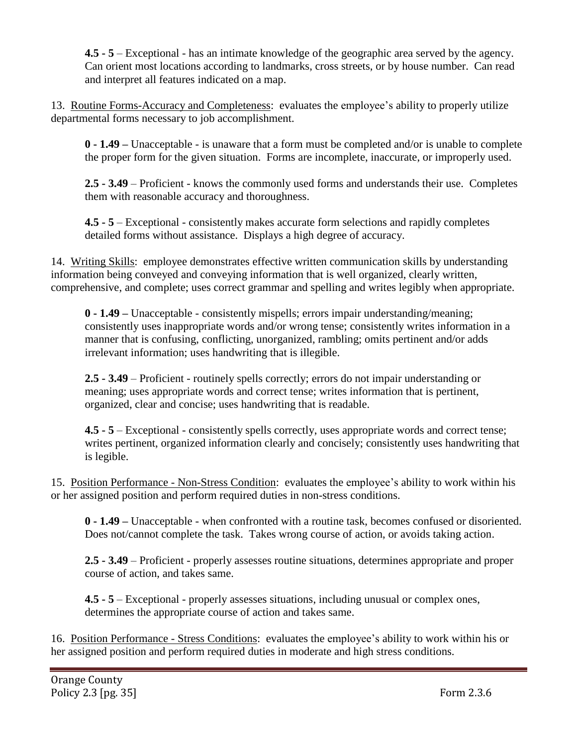**4.5 - 5** – Exceptional - has an intimate knowledge of the geographic area served by the agency. Can orient most locations according to landmarks, cross streets, or by house number. Can read and interpret all features indicated on a map.

13. Routine Forms-Accuracy and Completeness: evaluates the employee's ability to properly utilize departmental forms necessary to job accomplishment.

**0 - 1.49 –** Unacceptable - is unaware that a form must be completed and/or is unable to complete the proper form for the given situation. Forms are incomplete, inaccurate, or improperly used.

**2.5 - 3.49** – Proficient - knows the commonly used forms and understands their use. Completes them with reasonable accuracy and thoroughness.

**4.5 - 5** – Exceptional - consistently makes accurate form selections and rapidly completes detailed forms without assistance. Displays a high degree of accuracy.

14. Writing Skills: employee demonstrates effective written communication skills by understanding information being conveyed and conveying information that is well organized, clearly written, comprehensive, and complete; uses correct grammar and spelling and writes legibly when appropriate.

**0 - 1.49 –** Unacceptable - consistently mispells; errors impair understanding/meaning; consistently uses inappropriate words and/or wrong tense; consistently writes information in a manner that is confusing, conflicting, unorganized, rambling; omits pertinent and/or adds irrelevant information; uses handwriting that is illegible.

**2.5 - 3.49** – Proficient - routinely spells correctly; errors do not impair understanding or meaning; uses appropriate words and correct tense; writes information that is pertinent, organized, clear and concise; uses handwriting that is readable.

**4.5 - 5** – Exceptional - consistently spells correctly, uses appropriate words and correct tense; writes pertinent, organized information clearly and concisely; consistently uses handwriting that is legible.

15. Position Performance - Non-Stress Condition: evaluates the employee's ability to work within his or her assigned position and perform required duties in non-stress conditions.

**0 - 1.49 –** Unacceptable - when confronted with a routine task, becomes confused or disoriented. Does not/cannot complete the task. Takes wrong course of action, or avoids taking action.

**2.5 - 3.49** – Proficient - properly assesses routine situations, determines appropriate and proper course of action, and takes same.

**4.5 - 5** – Exceptional - properly assesses situations, including unusual or complex ones, determines the appropriate course of action and takes same.

16. Position Performance - Stress Conditions: evaluates the employee's ability to work within his or her assigned position and perform required duties in moderate and high stress conditions.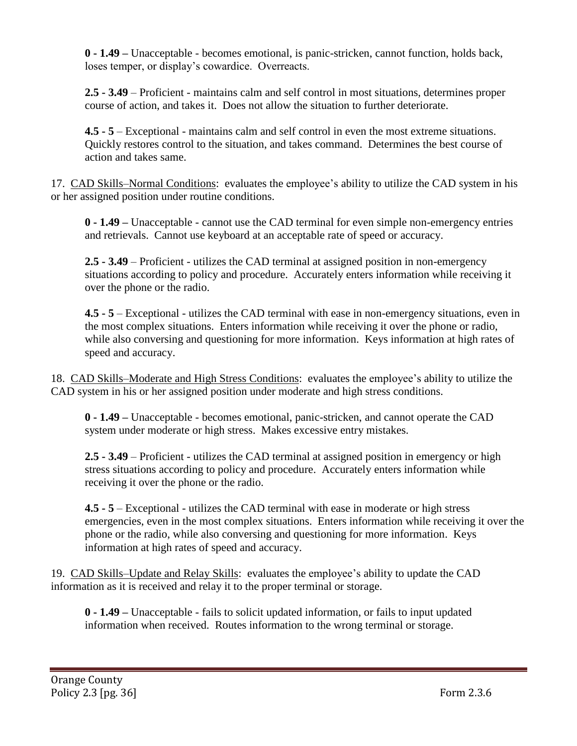**0 - 1.49 –** Unacceptable - becomes emotional, is panic-stricken, cannot function, holds back, loses temper, or display's cowardice. Overreacts.

**2.5 - 3.49** – Proficient - maintains calm and self control in most situations, determines proper course of action, and takes it. Does not allow the situation to further deteriorate.

**4.5 - 5** – Exceptional - maintains calm and self control in even the most extreme situations. Quickly restores control to the situation, and takes command. Determines the best course of action and takes same.

17. CAD Skills–Normal Conditions: evaluates the employee's ability to utilize the CAD system in his or her assigned position under routine conditions.

**0 - 1.49 –** Unacceptable - cannot use the CAD terminal for even simple non-emergency entries and retrievals. Cannot use keyboard at an acceptable rate of speed or accuracy.

**2.5 - 3.49** – Proficient - utilizes the CAD terminal at assigned position in non-emergency situations according to policy and procedure. Accurately enters information while receiving it over the phone or the radio.

**4.5 - 5** – Exceptional - utilizes the CAD terminal with ease in non-emergency situations, even in the most complex situations. Enters information while receiving it over the phone or radio, while also conversing and questioning for more information. Keys information at high rates of speed and accuracy.

18. CAD Skills–Moderate and High Stress Conditions: evaluates the employee's ability to utilize the CAD system in his or her assigned position under moderate and high stress conditions.

**0 - 1.49 –** Unacceptable - becomes emotional, panic-stricken, and cannot operate the CAD system under moderate or high stress. Makes excessive entry mistakes.

**2.5 - 3.49** – Proficient - utilizes the CAD terminal at assigned position in emergency or high stress situations according to policy and procedure. Accurately enters information while receiving it over the phone or the radio.

**4.5 - 5** – Exceptional - utilizes the CAD terminal with ease in moderate or high stress emergencies, even in the most complex situations. Enters information while receiving it over the phone or the radio, while also conversing and questioning for more information. Keys information at high rates of speed and accuracy.

19. CAD Skills–Update and Relay Skills: evaluates the employee's ability to update the CAD information as it is received and relay it to the proper terminal or storage.

**0 - 1.49 –** Unacceptable - fails to solicit updated information, or fails to input updated information when received. Routes information to the wrong terminal or storage.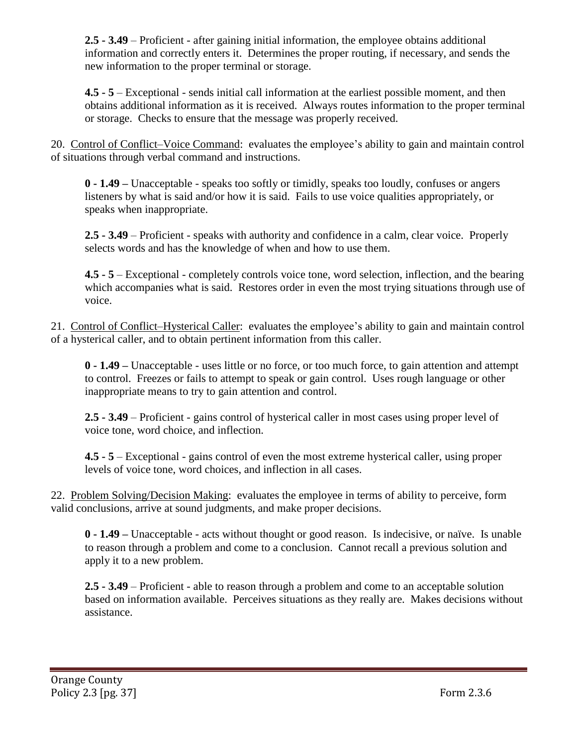**2.5 - 3.49** – Proficient - after gaining initial information, the employee obtains additional information and correctly enters it. Determines the proper routing, if necessary, and sends the new information to the proper terminal or storage.

**4.5 - 5** – Exceptional - sends initial call information at the earliest possible moment, and then obtains additional information as it is received. Always routes information to the proper terminal or storage. Checks to ensure that the message was properly received.

20. Control of Conflict–Voice Command: evaluates the employee's ability to gain and maintain control of situations through verbal command and instructions.

**0 - 1.49 –** Unacceptable - speaks too softly or timidly, speaks too loudly, confuses or angers listeners by what is said and/or how it is said. Fails to use voice qualities appropriately, or speaks when inappropriate.

**2.5 - 3.49** – Proficient - speaks with authority and confidence in a calm, clear voice. Properly selects words and has the knowledge of when and how to use them.

**4.5 - 5** – Exceptional - completely controls voice tone, word selection, inflection, and the bearing which accompanies what is said. Restores order in even the most trying situations through use of voice.

21. Control of Conflict–Hysterical Caller: evaluates the employee's ability to gain and maintain control of a hysterical caller, and to obtain pertinent information from this caller.

**0 - 1.49 –** Unacceptable - uses little or no force, or too much force, to gain attention and attempt to control. Freezes or fails to attempt to speak or gain control. Uses rough language or other inappropriate means to try to gain attention and control.

**2.5 - 3.49** – Proficient - gains control of hysterical caller in most cases using proper level of voice tone, word choice, and inflection.

**4.5 - 5** – Exceptional - gains control of even the most extreme hysterical caller, using proper levels of voice tone, word choices, and inflection in all cases.

22. Problem Solving/Decision Making: evaluates the employee in terms of ability to perceive, form valid conclusions, arrive at sound judgments, and make proper decisions.

**0 - 1.49 –** Unacceptable - acts without thought or good reason. Is indecisive, or naïve. Is unable to reason through a problem and come to a conclusion. Cannot recall a previous solution and apply it to a new problem.

**2.5 - 3.49** – Proficient - able to reason through a problem and come to an acceptable solution based on information available. Perceives situations as they really are. Makes decisions without assistance.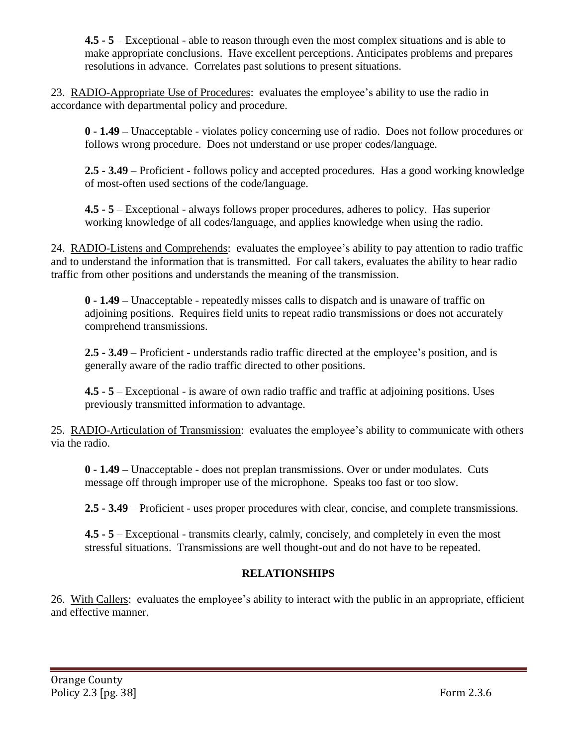**4.5 - 5** – Exceptional - able to reason through even the most complex situations and is able to make appropriate conclusions. Have excellent perceptions. Anticipates problems and prepares resolutions in advance. Correlates past solutions to present situations.

23. RADIO-Appropriate Use of Procedures: evaluates the employee's ability to use the radio in accordance with departmental policy and procedure.

**0 - 1.49 –** Unacceptable - violates policy concerning use of radio. Does not follow procedures or follows wrong procedure. Does not understand or use proper codes/language.

**2.5 - 3.49** – Proficient - follows policy and accepted procedures. Has a good working knowledge of most-often used sections of the code/language.

**4.5 - 5** – Exceptional - always follows proper procedures, adheres to policy. Has superior working knowledge of all codes/language, and applies knowledge when using the radio.

24. RADIO-Listens and Comprehends: evaluates the employee's ability to pay attention to radio traffic and to understand the information that is transmitted. For call takers, evaluates the ability to hear radio traffic from other positions and understands the meaning of the transmission.

**0 - 1.49 –** Unacceptable - repeatedly misses calls to dispatch and is unaware of traffic on adjoining positions. Requires field units to repeat radio transmissions or does not accurately comprehend transmissions.

**2.5 - 3.49** – Proficient - understands radio traffic directed at the employee's position, and is generally aware of the radio traffic directed to other positions.

**4.5 - 5** – Exceptional - is aware of own radio traffic and traffic at adjoining positions. Uses previously transmitted information to advantage.

25. RADIO-Articulation of Transmission: evaluates the employee's ability to communicate with others via the radio.

**0 - 1.49 –** Unacceptable - does not preplan transmissions. Over or under modulates. Cuts message off through improper use of the microphone. Speaks too fast or too slow.

**2.5 - 3.49** – Proficient - uses proper procedures with clear, concise, and complete transmissions.

**4.5 - 5** – Exceptional - transmits clearly, calmly, concisely, and completely in even the most stressful situations. Transmissions are well thought-out and do not have to be repeated.

# **RELATIONSHIPS**

26. With Callers: evaluates the employee's ability to interact with the public in an appropriate, efficient and effective manner.